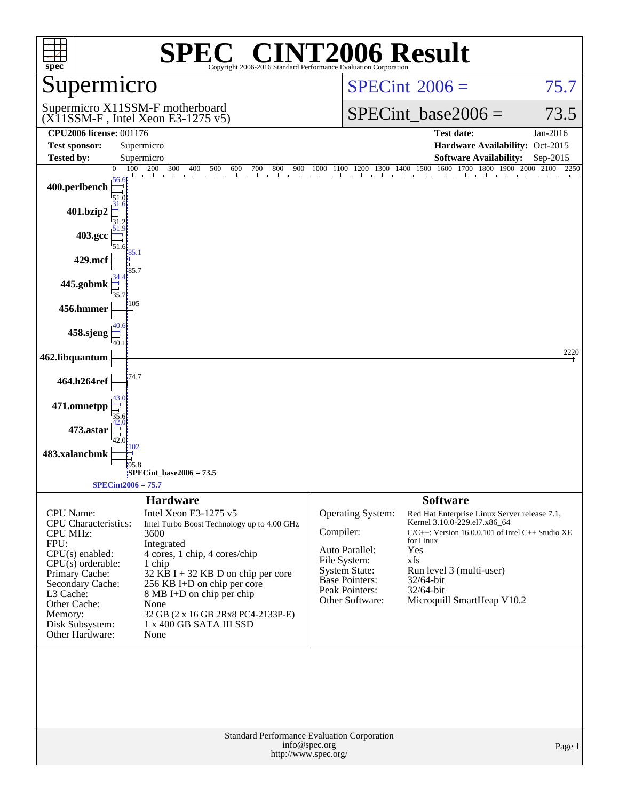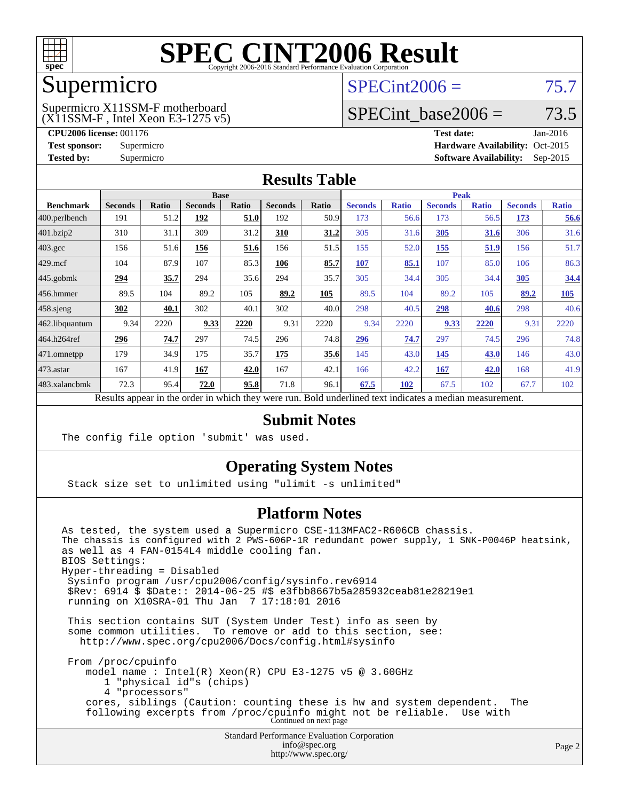

## Supermicro

#### (X11SSM-F , Intel Xeon E3-1275 v5) Supermicro X11SSM-F motherboard

 $SPECint2006 = 75.7$  $SPECint2006 = 75.7$ 

## SPECint base2006 =  $73.5$

**[CPU2006 license:](http://www.spec.org/auto/cpu2006/Docs/result-fields.html#CPU2006license)** 001176 **[Test date:](http://www.spec.org/auto/cpu2006/Docs/result-fields.html#Testdate)** Jan-2016 **[Test sponsor:](http://www.spec.org/auto/cpu2006/Docs/result-fields.html#Testsponsor)** Supermicro Supermicro **[Hardware Availability:](http://www.spec.org/auto/cpu2006/Docs/result-fields.html#HardwareAvailability)** Oct-2015 **[Tested by:](http://www.spec.org/auto/cpu2006/Docs/result-fields.html#Testedby)** Supermicro **Supermicro [Software Availability:](http://www.spec.org/auto/cpu2006/Docs/result-fields.html#SoftwareAvailability)** Sep-2015

#### **[Results Table](http://www.spec.org/auto/cpu2006/Docs/result-fields.html#ResultsTable)**

|                                                                                                          | <b>Base</b>    |       |                |       | <b>Peak</b>    |       |                |              |                |              |                |              |
|----------------------------------------------------------------------------------------------------------|----------------|-------|----------------|-------|----------------|-------|----------------|--------------|----------------|--------------|----------------|--------------|
| <b>Benchmark</b>                                                                                         | <b>Seconds</b> | Ratio | <b>Seconds</b> | Ratio | <b>Seconds</b> | Ratio | <b>Seconds</b> | <b>Ratio</b> | <b>Seconds</b> | <b>Ratio</b> | <b>Seconds</b> | <b>Ratio</b> |
| 400.perlbench                                                                                            | 191            | 51.2  | 192            | 51.0  | 192            | 50.9  | 173            | 56.6         | 173            | 56.5         | <u>173</u>     | 56.6         |
| 401.bzip2                                                                                                | 310            | 31.1  | 309            | 31.2  | 310            | 31.2  | 305            | 31.6         | 305            | <u>31.6</u>  | 306            | 31.6         |
| $403.\mathrm{gcc}$                                                                                       | 156            | 51.6  | 156            | 51.6  | 156            | 51.5  | 155            | 52.0         | <u>155</u>     | 51.9         | 156            | 51.7         |
| $429$ .mcf                                                                                               | 104            | 87.9  | 107            | 85.3  | 106            | 85.7  | 107            | 85.1         | 107            | 85.0         | 106            | 86.3         |
| $445$ .gobmk                                                                                             | 294            | 35.7  | 294            | 35.6  | 294            | 35.7  | 305            | 34.4         | 305            | 34.4         | 305            | 34.4         |
| $456.$ hmmer                                                                                             | 89.5           | 104   | 89.2           | 105   | 89.2           | 105   | 89.5           | 104          | 89.2           | 105          | 89.2           | 105          |
| $458$ .sjeng                                                                                             | 302            | 40.1  | 302            | 40.1  | 302            | 40.0  | 298            | 40.5         | 298            | 40.6         | 298            | 40.6         |
| 462.libquantum                                                                                           | 9.34           | 2220  | 9.33           | 2220  | 9.31           | 2220  | 9.34           | 2220         | 9.33           | 2220         | 9.31           | 2220         |
| 464.h264ref                                                                                              | 296            | 74.7  | 297            | 74.5  | 296            | 74.8  | 296            | 74.7         | 297            | 74.5         | 296            | 74.8         |
| $ 471$ .omnetpp                                                                                          | 179            | 34.9  | 175            | 35.7  | 175            | 35.6  | 145            | 43.0         | 145            | 43.0         | 146            | 43.0         |
| $473$ . astar                                                                                            | 167            | 41.9  | 167            | 42.0  | 167            | 42.1  | 166            | 42.2         | 167            | 42.0         | 168            | 41.9         |
| 483.xalancbmk                                                                                            | 72.3           | 95.4  | 72.0           | 95.8  | 71.8           | 96.1  | 67.5           | 102          | 67.5           | 102          | 67.7           | 102          |
| Results appear in the order in which they were run. Bold underlined text indicates a median measurement. |                |       |                |       |                |       |                |              |                |              |                |              |

#### **[Submit Notes](http://www.spec.org/auto/cpu2006/Docs/result-fields.html#SubmitNotes)**

The config file option 'submit' was used.

#### **[Operating System Notes](http://www.spec.org/auto/cpu2006/Docs/result-fields.html#OperatingSystemNotes)**

Stack size set to unlimited using "ulimit -s unlimited"

#### **[Platform Notes](http://www.spec.org/auto/cpu2006/Docs/result-fields.html#PlatformNotes)**

Standard Performance Evaluation Corporation [info@spec.org](mailto:info@spec.org) As tested, the system used a Supermicro CSE-113MFAC2-R606CB chassis. The chassis is configured with 2 PWS-606P-1R redundant power supply, 1 SNK-P0046P heatsink, as well as 4 FAN-0154L4 middle cooling fan. BIOS Settings: Hyper-threading = Disabled Sysinfo program /usr/cpu2006/config/sysinfo.rev6914 \$Rev: 6914 \$ \$Date:: 2014-06-25 #\$ e3fbb8667b5a285932ceab81e28219e1 running on X10SRA-01 Thu Jan 7 17:18:01 2016 This section contains SUT (System Under Test) info as seen by some common utilities. To remove or add to this section, see: <http://www.spec.org/cpu2006/Docs/config.html#sysinfo> From /proc/cpuinfo model name : Intel(R) Xeon(R) CPU E3-1275 v5 @ 3.60GHz 1 "physical id"s (chips) 4 "processors" cores, siblings (Caution: counting these is hw and system dependent. The following excerpts from /proc/cpuinfo might not be reliable. Use with Continued on next page

<http://www.spec.org/>

Page 2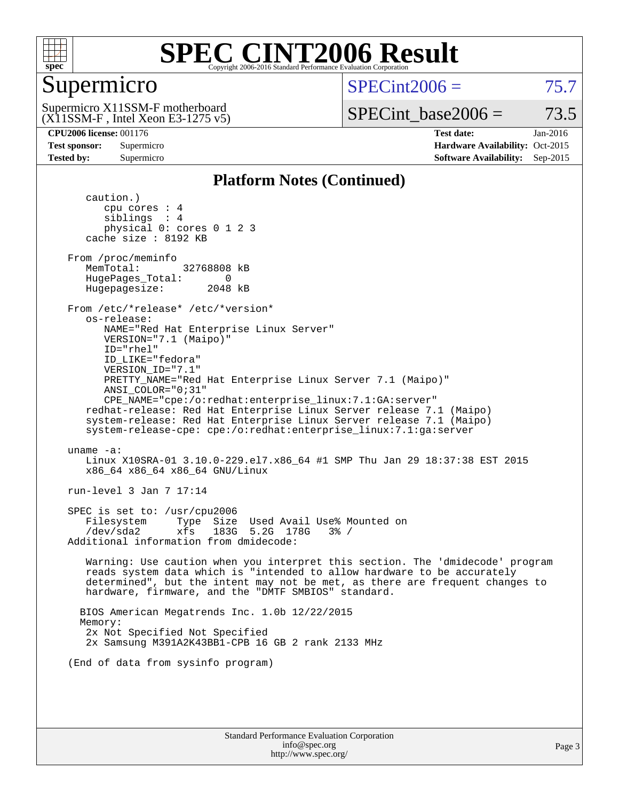

## Supermicro

 $SPECint2006 = 75.7$  $SPECint2006 = 75.7$ 

(X11SSM-F , Intel Xeon E3-1275 v5) Supermicro X11SSM-F motherboard

SPECint base2006 =  $73.5$ 

**[CPU2006 license:](http://www.spec.org/auto/cpu2006/Docs/result-fields.html#CPU2006license)** 001176 **[Test date:](http://www.spec.org/auto/cpu2006/Docs/result-fields.html#Testdate)** Jan-2016 **[Test sponsor:](http://www.spec.org/auto/cpu2006/Docs/result-fields.html#Testsponsor)** Supermicro Supermicro **[Hardware Availability:](http://www.spec.org/auto/cpu2006/Docs/result-fields.html#HardwareAvailability)** Oct-2015 **[Tested by:](http://www.spec.org/auto/cpu2006/Docs/result-fields.html#Testedby)** Supermicro **Supermicro [Software Availability:](http://www.spec.org/auto/cpu2006/Docs/result-fields.html#SoftwareAvailability)** Sep-2015

#### **[Platform Notes \(Continued\)](http://www.spec.org/auto/cpu2006/Docs/result-fields.html#PlatformNotes)**

 caution.) cpu cores : 4 siblings : 4 physical 0: cores 0 1 2 3 cache size : 8192 KB From /proc/meminfo MemTotal: 32768808 kB HugePages\_Total: 0<br>Hugepagesize: 2048 kB Hugepagesize: From /etc/\*release\* /etc/\*version\* os-release: NAME="Red Hat Enterprise Linux Server" VERSION="7.1 (Maipo)" ID="rhel" ID\_LIKE="fedora" VERSION\_ID="7.1" PRETTY\_NAME="Red Hat Enterprise Linux Server 7.1 (Maipo)" ANSI\_COLOR="0;31" CPE\_NAME="cpe:/o:redhat:enterprise\_linux:7.1:GA:server" redhat-release: Red Hat Enterprise Linux Server release 7.1 (Maipo) system-release: Red Hat Enterprise Linux Server release 7.1 (Maipo) system-release-cpe: cpe:/o:redhat:enterprise\_linux:7.1:ga:server uname -a: Linux X10SRA-01 3.10.0-229.el7.x86\_64 #1 SMP Thu Jan 29 18:37:38 EST 2015 x86\_64 x86\_64 x86\_64 GNU/Linux run-level 3 Jan 7 17:14 SPEC is set to: /usr/cpu2006 Filesystem Type Size Used Avail Use% Mounted on /dev/sda2 xfs 183G 5.2G 178G 3% / Additional information from dmidecode: Warning: Use caution when you interpret this section. The 'dmidecode' program reads system data which is "intended to allow hardware to be accurately determined", but the intent may not be met, as there are frequent changes to hardware, firmware, and the "DMTF SMBIOS" standard. BIOS American Megatrends Inc. 1.0b 12/22/2015 Memory: 2x Not Specified Not Specified 2x Samsung M391A2K43BB1-CPB 16 GB 2 rank 2133 MHz (End of data from sysinfo program)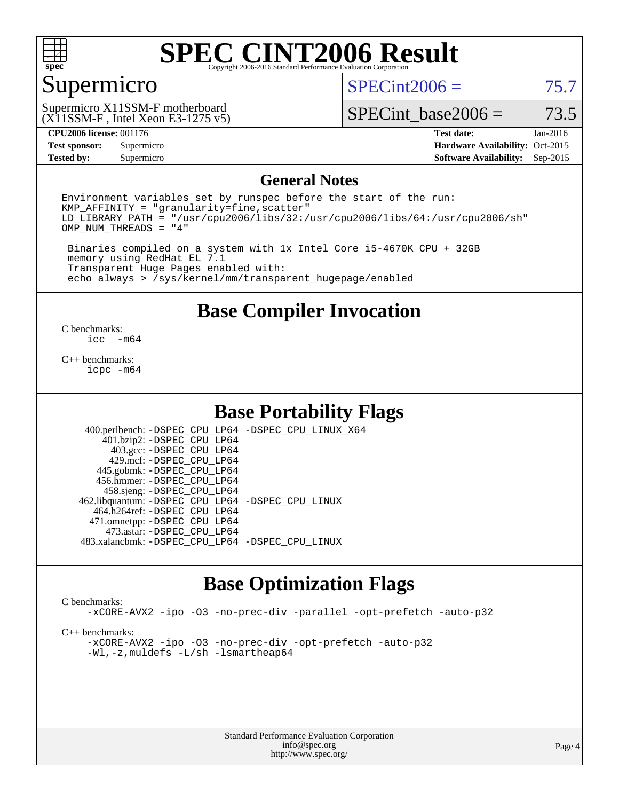

#### Supermicro

 $SPECint2006 = 75.7$  $SPECint2006 = 75.7$ 

(X11SSM-F , Intel Xeon E3-1275 v5) Supermicro X11SSM-F motherboard

SPECint base2006 =  $73.5$ 

**[Test sponsor:](http://www.spec.org/auto/cpu2006/Docs/result-fields.html#Testsponsor)** Supermicro Supermicro **[Hardware Availability:](http://www.spec.org/auto/cpu2006/Docs/result-fields.html#HardwareAvailability)** Oct-2015 **[Tested by:](http://www.spec.org/auto/cpu2006/Docs/result-fields.html#Testedby)** Supermicro **Supermicro [Software Availability:](http://www.spec.org/auto/cpu2006/Docs/result-fields.html#SoftwareAvailability)** Sep-2015

**[CPU2006 license:](http://www.spec.org/auto/cpu2006/Docs/result-fields.html#CPU2006license)** 001176 **[Test date:](http://www.spec.org/auto/cpu2006/Docs/result-fields.html#Testdate)** Jan-2016

#### **[General Notes](http://www.spec.org/auto/cpu2006/Docs/result-fields.html#GeneralNotes)**

Environment variables set by runspec before the start of the run:  $KMP$  AFFINITY = "granularity=fine, scatter" LD\_LIBRARY\_PATH = "/usr/cpu2006/libs/32:/usr/cpu2006/libs/64:/usr/cpu2006/sh" OMP\_NUM\_THREADS = "4"

 Binaries compiled on a system with 1x Intel Core i5-4670K CPU + 32GB memory using RedHat EL 7.1 Transparent Huge Pages enabled with: echo always > /sys/kernel/mm/transparent\_hugepage/enabled

**[Base Compiler Invocation](http://www.spec.org/auto/cpu2006/Docs/result-fields.html#BaseCompilerInvocation)**

 $\frac{C \text{ benchmarks:}}{C \text{ C}}$ -m64

[C++ benchmarks:](http://www.spec.org/auto/cpu2006/Docs/result-fields.html#CXXbenchmarks) [icpc -m64](http://www.spec.org/cpu2006/results/res2016q1/cpu2006-20160111-38652.flags.html#user_CXXbase_intel_icpc_64bit_fc66a5337ce925472a5c54ad6a0de310)

#### **[Base Portability Flags](http://www.spec.org/auto/cpu2006/Docs/result-fields.html#BasePortabilityFlags)**

 400.perlbench: [-DSPEC\\_CPU\\_LP64](http://www.spec.org/cpu2006/results/res2016q1/cpu2006-20160111-38652.flags.html#b400.perlbench_basePORTABILITY_DSPEC_CPU_LP64) [-DSPEC\\_CPU\\_LINUX\\_X64](http://www.spec.org/cpu2006/results/res2016q1/cpu2006-20160111-38652.flags.html#b400.perlbench_baseCPORTABILITY_DSPEC_CPU_LINUX_X64) 401.bzip2: [-DSPEC\\_CPU\\_LP64](http://www.spec.org/cpu2006/results/res2016q1/cpu2006-20160111-38652.flags.html#suite_basePORTABILITY401_bzip2_DSPEC_CPU_LP64) 403.gcc: [-DSPEC\\_CPU\\_LP64](http://www.spec.org/cpu2006/results/res2016q1/cpu2006-20160111-38652.flags.html#suite_basePORTABILITY403_gcc_DSPEC_CPU_LP64) 429.mcf: [-DSPEC\\_CPU\\_LP64](http://www.spec.org/cpu2006/results/res2016q1/cpu2006-20160111-38652.flags.html#suite_basePORTABILITY429_mcf_DSPEC_CPU_LP64) 445.gobmk: [-DSPEC\\_CPU\\_LP64](http://www.spec.org/cpu2006/results/res2016q1/cpu2006-20160111-38652.flags.html#suite_basePORTABILITY445_gobmk_DSPEC_CPU_LP64) 456.hmmer: [-DSPEC\\_CPU\\_LP64](http://www.spec.org/cpu2006/results/res2016q1/cpu2006-20160111-38652.flags.html#suite_basePORTABILITY456_hmmer_DSPEC_CPU_LP64) 458.sjeng: [-DSPEC\\_CPU\\_LP64](http://www.spec.org/cpu2006/results/res2016q1/cpu2006-20160111-38652.flags.html#suite_basePORTABILITY458_sjeng_DSPEC_CPU_LP64) 462.libquantum: [-DSPEC\\_CPU\\_LP64](http://www.spec.org/cpu2006/results/res2016q1/cpu2006-20160111-38652.flags.html#suite_basePORTABILITY462_libquantum_DSPEC_CPU_LP64) [-DSPEC\\_CPU\\_LINUX](http://www.spec.org/cpu2006/results/res2016q1/cpu2006-20160111-38652.flags.html#b462.libquantum_baseCPORTABILITY_DSPEC_CPU_LINUX) 464.h264ref: [-DSPEC\\_CPU\\_LP64](http://www.spec.org/cpu2006/results/res2016q1/cpu2006-20160111-38652.flags.html#suite_basePORTABILITY464_h264ref_DSPEC_CPU_LP64) 471.omnetpp: [-DSPEC\\_CPU\\_LP64](http://www.spec.org/cpu2006/results/res2016q1/cpu2006-20160111-38652.flags.html#suite_basePORTABILITY471_omnetpp_DSPEC_CPU_LP64) 473.astar: [-DSPEC\\_CPU\\_LP64](http://www.spec.org/cpu2006/results/res2016q1/cpu2006-20160111-38652.flags.html#suite_basePORTABILITY473_astar_DSPEC_CPU_LP64) 483.xalancbmk: [-DSPEC\\_CPU\\_LP64](http://www.spec.org/cpu2006/results/res2016q1/cpu2006-20160111-38652.flags.html#suite_basePORTABILITY483_xalancbmk_DSPEC_CPU_LP64) [-DSPEC\\_CPU\\_LINUX](http://www.spec.org/cpu2006/results/res2016q1/cpu2006-20160111-38652.flags.html#b483.xalancbmk_baseCXXPORTABILITY_DSPEC_CPU_LINUX)

#### **[Base Optimization Flags](http://www.spec.org/auto/cpu2006/Docs/result-fields.html#BaseOptimizationFlags)**

#### [C benchmarks](http://www.spec.org/auto/cpu2006/Docs/result-fields.html#Cbenchmarks):

[-xCORE-AVX2](http://www.spec.org/cpu2006/results/res2016q1/cpu2006-20160111-38652.flags.html#user_CCbase_f-xAVX2_5f5fc0cbe2c9f62c816d3e45806c70d7) [-ipo](http://www.spec.org/cpu2006/results/res2016q1/cpu2006-20160111-38652.flags.html#user_CCbase_f-ipo) [-O3](http://www.spec.org/cpu2006/results/res2016q1/cpu2006-20160111-38652.flags.html#user_CCbase_f-O3) [-no-prec-div](http://www.spec.org/cpu2006/results/res2016q1/cpu2006-20160111-38652.flags.html#user_CCbase_f-no-prec-div) [-parallel](http://www.spec.org/cpu2006/results/res2016q1/cpu2006-20160111-38652.flags.html#user_CCbase_f-parallel) [-opt-prefetch](http://www.spec.org/cpu2006/results/res2016q1/cpu2006-20160111-38652.flags.html#user_CCbase_f-opt-prefetch) [-auto-p32](http://www.spec.org/cpu2006/results/res2016q1/cpu2006-20160111-38652.flags.html#user_CCbase_f-auto-p32)

[C++ benchmarks:](http://www.spec.org/auto/cpu2006/Docs/result-fields.html#CXXbenchmarks)

[-xCORE-AVX2](http://www.spec.org/cpu2006/results/res2016q1/cpu2006-20160111-38652.flags.html#user_CXXbase_f-xAVX2_5f5fc0cbe2c9f62c816d3e45806c70d7) [-ipo](http://www.spec.org/cpu2006/results/res2016q1/cpu2006-20160111-38652.flags.html#user_CXXbase_f-ipo) [-O3](http://www.spec.org/cpu2006/results/res2016q1/cpu2006-20160111-38652.flags.html#user_CXXbase_f-O3) [-no-prec-div](http://www.spec.org/cpu2006/results/res2016q1/cpu2006-20160111-38652.flags.html#user_CXXbase_f-no-prec-div) [-opt-prefetch](http://www.spec.org/cpu2006/results/res2016q1/cpu2006-20160111-38652.flags.html#user_CXXbase_f-opt-prefetch) [-auto-p32](http://www.spec.org/cpu2006/results/res2016q1/cpu2006-20160111-38652.flags.html#user_CXXbase_f-auto-p32) [-Wl,-z,muldefs](http://www.spec.org/cpu2006/results/res2016q1/cpu2006-20160111-38652.flags.html#user_CXXbase_link_force_multiple1_74079c344b956b9658436fd1b6dd3a8a) [-L/sh -lsmartheap64](http://www.spec.org/cpu2006/results/res2016q1/cpu2006-20160111-38652.flags.html#user_CXXbase_SmartHeap64_ed4ef857ce90951921efb0d91eb88472)

> Standard Performance Evaluation Corporation [info@spec.org](mailto:info@spec.org) <http://www.spec.org/>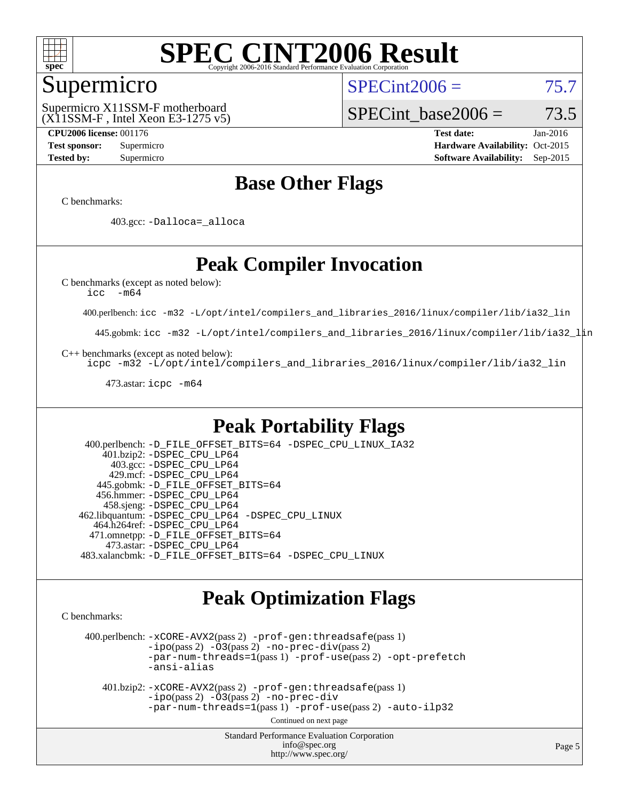

#### Supermicro

 $SPECint2006 = 75.7$  $SPECint2006 = 75.7$ 

(X11SSM-F , Intel Xeon E3-1275 v5) Supermicro X11SSM-F motherboard

SPECint base2006 =  $73.5$ 

**[CPU2006 license:](http://www.spec.org/auto/cpu2006/Docs/result-fields.html#CPU2006license)** 001176 **[Test date:](http://www.spec.org/auto/cpu2006/Docs/result-fields.html#Testdate)** Jan-2016 **[Test sponsor:](http://www.spec.org/auto/cpu2006/Docs/result-fields.html#Testsponsor)** Supermicro Supermicro **[Hardware Availability:](http://www.spec.org/auto/cpu2006/Docs/result-fields.html#HardwareAvailability)** Oct-2015 **[Tested by:](http://www.spec.org/auto/cpu2006/Docs/result-fields.html#Testedby)** Supermicro **Supermicro [Software Availability:](http://www.spec.org/auto/cpu2006/Docs/result-fields.html#SoftwareAvailability)** Sep-2015

## **[Base Other Flags](http://www.spec.org/auto/cpu2006/Docs/result-fields.html#BaseOtherFlags)**

[C benchmarks](http://www.spec.org/auto/cpu2006/Docs/result-fields.html#Cbenchmarks):

403.gcc: [-Dalloca=\\_alloca](http://www.spec.org/cpu2006/results/res2016q1/cpu2006-20160111-38652.flags.html#b403.gcc_baseEXTRA_CFLAGS_Dalloca_be3056838c12de2578596ca5467af7f3)

## **[Peak Compiler Invocation](http://www.spec.org/auto/cpu2006/Docs/result-fields.html#PeakCompilerInvocation)**

[C benchmarks \(except as noted below\)](http://www.spec.org/auto/cpu2006/Docs/result-fields.html#Cbenchmarksexceptasnotedbelow):

[icc -m64](http://www.spec.org/cpu2006/results/res2016q1/cpu2006-20160111-38652.flags.html#user_CCpeak_intel_icc_64bit_f346026e86af2a669e726fe758c88044)

400.perlbench: [icc -m32 -L/opt/intel/compilers\\_and\\_libraries\\_2016/linux/compiler/lib/ia32\\_lin](http://www.spec.org/cpu2006/results/res2016q1/cpu2006-20160111-38652.flags.html#user_peakCCLD400_perlbench_intel_icc_e10256ba5924b668798078a321b0cb3f)

445.gobmk: [icc -m32 -L/opt/intel/compilers\\_and\\_libraries\\_2016/linux/compiler/lib/ia32\\_lin](http://www.spec.org/cpu2006/results/res2016q1/cpu2006-20160111-38652.flags.html#user_peakCCLD445_gobmk_intel_icc_e10256ba5924b668798078a321b0cb3f)

[C++ benchmarks \(except as noted below\):](http://www.spec.org/auto/cpu2006/Docs/result-fields.html#CXXbenchmarksexceptasnotedbelow)

[icpc -m32 -L/opt/intel/compilers\\_and\\_libraries\\_2016/linux/compiler/lib/ia32\\_lin](http://www.spec.org/cpu2006/results/res2016q1/cpu2006-20160111-38652.flags.html#user_CXXpeak_intel_icpc_b4f50a394bdb4597aa5879c16bc3f5c5)

473.astar: [icpc -m64](http://www.spec.org/cpu2006/results/res2016q1/cpu2006-20160111-38652.flags.html#user_peakCXXLD473_astar_intel_icpc_64bit_fc66a5337ce925472a5c54ad6a0de310)

#### **[Peak Portability Flags](http://www.spec.org/auto/cpu2006/Docs/result-fields.html#PeakPortabilityFlags)**

 400.perlbench: [-D\\_FILE\\_OFFSET\\_BITS=64](http://www.spec.org/cpu2006/results/res2016q1/cpu2006-20160111-38652.flags.html#user_peakPORTABILITY400_perlbench_file_offset_bits_64_438cf9856305ebd76870a2c6dc2689ab) [-DSPEC\\_CPU\\_LINUX\\_IA32](http://www.spec.org/cpu2006/results/res2016q1/cpu2006-20160111-38652.flags.html#b400.perlbench_peakCPORTABILITY_DSPEC_CPU_LINUX_IA32) 401.bzip2: [-DSPEC\\_CPU\\_LP64](http://www.spec.org/cpu2006/results/res2016q1/cpu2006-20160111-38652.flags.html#suite_peakPORTABILITY401_bzip2_DSPEC_CPU_LP64) 403.gcc: [-DSPEC\\_CPU\\_LP64](http://www.spec.org/cpu2006/results/res2016q1/cpu2006-20160111-38652.flags.html#suite_peakPORTABILITY403_gcc_DSPEC_CPU_LP64) 429.mcf: [-DSPEC\\_CPU\\_LP64](http://www.spec.org/cpu2006/results/res2016q1/cpu2006-20160111-38652.flags.html#suite_peakPORTABILITY429_mcf_DSPEC_CPU_LP64) 445.gobmk: [-D\\_FILE\\_OFFSET\\_BITS=64](http://www.spec.org/cpu2006/results/res2016q1/cpu2006-20160111-38652.flags.html#user_peakPORTABILITY445_gobmk_file_offset_bits_64_438cf9856305ebd76870a2c6dc2689ab) 456.hmmer: [-DSPEC\\_CPU\\_LP64](http://www.spec.org/cpu2006/results/res2016q1/cpu2006-20160111-38652.flags.html#suite_peakPORTABILITY456_hmmer_DSPEC_CPU_LP64) 458.sjeng: [-DSPEC\\_CPU\\_LP64](http://www.spec.org/cpu2006/results/res2016q1/cpu2006-20160111-38652.flags.html#suite_peakPORTABILITY458_sjeng_DSPEC_CPU_LP64) 462.libquantum: [-DSPEC\\_CPU\\_LP64](http://www.spec.org/cpu2006/results/res2016q1/cpu2006-20160111-38652.flags.html#suite_peakPORTABILITY462_libquantum_DSPEC_CPU_LP64) [-DSPEC\\_CPU\\_LINUX](http://www.spec.org/cpu2006/results/res2016q1/cpu2006-20160111-38652.flags.html#b462.libquantum_peakCPORTABILITY_DSPEC_CPU_LINUX) 464.h264ref: [-DSPEC\\_CPU\\_LP64](http://www.spec.org/cpu2006/results/res2016q1/cpu2006-20160111-38652.flags.html#suite_peakPORTABILITY464_h264ref_DSPEC_CPU_LP64) 471.omnetpp: [-D\\_FILE\\_OFFSET\\_BITS=64](http://www.spec.org/cpu2006/results/res2016q1/cpu2006-20160111-38652.flags.html#user_peakPORTABILITY471_omnetpp_file_offset_bits_64_438cf9856305ebd76870a2c6dc2689ab) 473.astar: [-DSPEC\\_CPU\\_LP64](http://www.spec.org/cpu2006/results/res2016q1/cpu2006-20160111-38652.flags.html#suite_peakPORTABILITY473_astar_DSPEC_CPU_LP64) 483.xalancbmk: [-D\\_FILE\\_OFFSET\\_BITS=64](http://www.spec.org/cpu2006/results/res2016q1/cpu2006-20160111-38652.flags.html#user_peakPORTABILITY483_xalancbmk_file_offset_bits_64_438cf9856305ebd76870a2c6dc2689ab) [-DSPEC\\_CPU\\_LINUX](http://www.spec.org/cpu2006/results/res2016q1/cpu2006-20160111-38652.flags.html#b483.xalancbmk_peakCXXPORTABILITY_DSPEC_CPU_LINUX)

#### **[Peak Optimization Flags](http://www.spec.org/auto/cpu2006/Docs/result-fields.html#PeakOptimizationFlags)**

[C benchmarks](http://www.spec.org/auto/cpu2006/Docs/result-fields.html#Cbenchmarks):

 400.perlbench: [-xCORE-AVX2](http://www.spec.org/cpu2006/results/res2016q1/cpu2006-20160111-38652.flags.html#user_peakPASS2_CFLAGSPASS2_LDCFLAGS400_perlbench_f-xAVX2_5f5fc0cbe2c9f62c816d3e45806c70d7)(pass 2) [-prof-gen:threadsafe](http://www.spec.org/cpu2006/results/res2016q1/cpu2006-20160111-38652.flags.html#user_peakPASS1_CFLAGSPASS1_LDCFLAGS400_perlbench_prof_gen_21a26eb79f378b550acd7bec9fe4467a)(pass 1)  $-i\text{po}(pass 2) -\tilde{O}3(pass 2)$  [-no-prec-div](http://www.spec.org/cpu2006/results/res2016q1/cpu2006-20160111-38652.flags.html#user_peakPASS2_CFLAGSPASS2_LDCFLAGS400_perlbench_f-no-prec-div)(pass 2) [-par-num-threads=1](http://www.spec.org/cpu2006/results/res2016q1/cpu2006-20160111-38652.flags.html#user_peakPASS1_CFLAGSPASS1_LDCFLAGS400_perlbench_par_num_threads_786a6ff141b4e9e90432e998842df6c2)(pass 1) [-prof-use](http://www.spec.org/cpu2006/results/res2016q1/cpu2006-20160111-38652.flags.html#user_peakPASS2_CFLAGSPASS2_LDCFLAGS400_perlbench_prof_use_bccf7792157ff70d64e32fe3e1250b55)(pass 2) [-opt-prefetch](http://www.spec.org/cpu2006/results/res2016q1/cpu2006-20160111-38652.flags.html#user_peakCOPTIMIZE400_perlbench_f-opt-prefetch) [-ansi-alias](http://www.spec.org/cpu2006/results/res2016q1/cpu2006-20160111-38652.flags.html#user_peakCOPTIMIZE400_perlbench_f-ansi-alias)

 401.bzip2: [-xCORE-AVX2](http://www.spec.org/cpu2006/results/res2016q1/cpu2006-20160111-38652.flags.html#user_peakPASS2_CFLAGSPASS2_LDCFLAGS401_bzip2_f-xAVX2_5f5fc0cbe2c9f62c816d3e45806c70d7)(pass 2) [-prof-gen:threadsafe](http://www.spec.org/cpu2006/results/res2016q1/cpu2006-20160111-38652.flags.html#user_peakPASS1_CFLAGSPASS1_LDCFLAGS401_bzip2_prof_gen_21a26eb79f378b550acd7bec9fe4467a)(pass 1)  $-i\text{po}(pass 2) -\overline{O}3(pass 2)$  [-no-prec-div](http://www.spec.org/cpu2006/results/res2016q1/cpu2006-20160111-38652.flags.html#user_peakCOPTIMIZEPASS2_CFLAGSPASS2_LDCFLAGS401_bzip2_f-no-prec-div) [-par-num-threads=1](http://www.spec.org/cpu2006/results/res2016q1/cpu2006-20160111-38652.flags.html#user_peakPASS1_CFLAGSPASS1_LDCFLAGS401_bzip2_par_num_threads_786a6ff141b4e9e90432e998842df6c2)(pass 1) [-prof-use](http://www.spec.org/cpu2006/results/res2016q1/cpu2006-20160111-38652.flags.html#user_peakPASS2_CFLAGSPASS2_LDCFLAGS401_bzip2_prof_use_bccf7792157ff70d64e32fe3e1250b55)(pass 2) [-auto-ilp32](http://www.spec.org/cpu2006/results/res2016q1/cpu2006-20160111-38652.flags.html#user_peakCOPTIMIZE401_bzip2_f-auto-ilp32)

Continued on next page

Standard Performance Evaluation Corporation [info@spec.org](mailto:info@spec.org) <http://www.spec.org/>

Page 5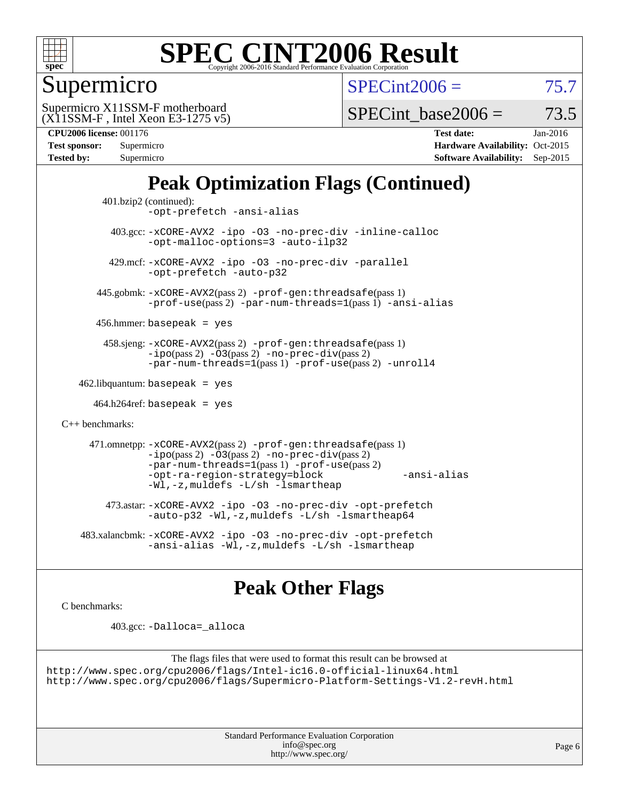

## Supermicro

 $SPECint2006 = 75.7$  $SPECint2006 = 75.7$ 

(X11SSM-F , Intel Xeon E3-1275 v5) Supermicro X11SSM-F motherboard

SPECint base2006 =  $73.5$ 

| <b>CPU2006 license: 001176</b> |  |
|--------------------------------|--|

| Test sponsor:     | Supermicro |
|-------------------|------------|
| <b>Tested by:</b> | Supermicro |

**[CPU2006 license:](http://www.spec.org/auto/cpu2006/Docs/result-fields.html#CPU2006license)** 001176 **[Test date:](http://www.spec.org/auto/cpu2006/Docs/result-fields.html#Testdate)** Jan-2016 **[Hardware Availability:](http://www.spec.org/auto/cpu2006/Docs/result-fields.html#HardwareAvailability)** Oct-2015 **[Software Availability:](http://www.spec.org/auto/cpu2006/Docs/result-fields.html#SoftwareAvailability)** Sep-2015

## **[Peak Optimization Flags \(Continued\)](http://www.spec.org/auto/cpu2006/Docs/result-fields.html#PeakOptimizationFlags)**

```
 401.bzip2 (continued):
                -opt-prefetch -ansi-alias
          403.gcc: -xCORE-AVX2 -ipo -O3 -no-prec-div -inline-calloc
                -opt-malloc-options=3 -auto-ilp32
         429.mcf: -xCORE-AVX2 -ipo -O3 -no-prec-div -parallel
                -opt-prefetch -auto-p32
       445.gobmk: -xCORE-AVX2(pass 2) -prof-gen:threadsafe(pass 1)
                -prof-use(pass 2) -par-num-threads=1(pass 1) -ansi-alias
       456.hmmer: basepeak = yes
        458.sjeng: -xCORE-AVX2(pass 2) -prof-gen:threadsafe(pass 1)
                -i\text{po}(pass 2) -\tilde{O}3(pass 2)-no-prec-div(pass 2)
                -par-num-threads=1(pass 1) -prof-use(pass 2) -unroll4
   462.libquantum: basepeak = yes
     464.h264ref: basepeak = yes
C++ benchmarks: 
      471.omnetpp: -xCORE-AVX2(pass 2) -prof-gen:threadsafe(pass 1)
                -i\text{po}(pass 2) -03(pass 2) -no-prec-div(pass 2)-par-num-threads=1(pass 1) -prof-use(pass 2)
                -opt-ra-region-strategy=block -ansi-alias
                -Wl,-z,muldefs -L/sh -lsmartheap
         473.astar: -xCORE-AVX2 -ipo -O3 -no-prec-div -opt-prefetch
                -auto-p32 -Wl,-z,muldefs -L/sh -lsmartheap64
    483.xalancbmk: -xCORE-AVX2 -ipo -O3 -no-prec-div -opt-prefetch
                -ansi-alias -Wl,-z,muldefs -L/sh -lsmartheap
```
## **[Peak Other Flags](http://www.spec.org/auto/cpu2006/Docs/result-fields.html#PeakOtherFlags)**

[C benchmarks](http://www.spec.org/auto/cpu2006/Docs/result-fields.html#Cbenchmarks):

403.gcc: [-Dalloca=\\_alloca](http://www.spec.org/cpu2006/results/res2016q1/cpu2006-20160111-38652.flags.html#b403.gcc_peakEXTRA_CFLAGS_Dalloca_be3056838c12de2578596ca5467af7f3)

```
The flags files that were used to format this result can be browsed at
http://www.spec.org/cpu2006/flags/Intel-ic16.0-official-linux64.html
http://www.spec.org/cpu2006/flags/Supermicro-Platform-Settings-V1.2-revH.html
```
Standard Performance Evaluation Corporation [info@spec.org](mailto:info@spec.org) <http://www.spec.org/>